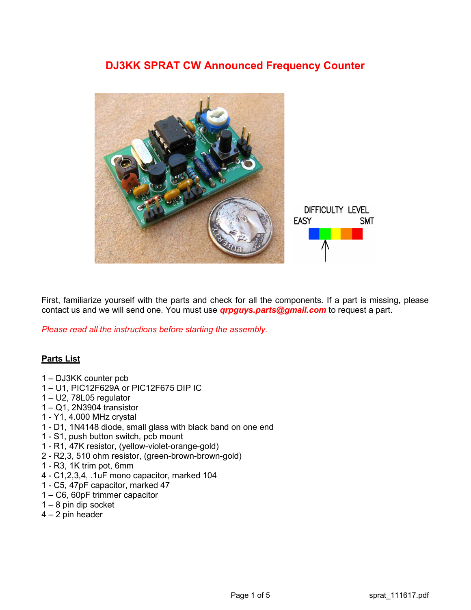# DJ3KK SPRAT CW Announced Frequency Counter



First, familiarize yourself with the parts and check for all the components. If a part is missing, please contact us and we will send one. You must use **grpguys.parts@gmail.com** to request a part.

Please read all the instructions before starting the assembly.

## Parts List

- 1 DJ3KK counter pcb
- 1 U1, PIC12F629A or PIC12F675 DIP IC
- 1 U2, 78L05 regulator
- 1 Q1, 2N3904 transistor
- 1 Y1, 4.000 MHz crystal
- 1 D1, 1N4148 diode, small glass with black band on one end
- 1 S1, push button switch, pcb mount
- 1 R1, 47K resistor, (yellow-violet-orange-gold)
- 2 R2,3, 510 ohm resistor, (green-brown-brown-gold)
- 1 R3, 1K trim pot, 6mm
- 4 C1,2,3,4, .1uF mono capacitor, marked 104
- 1 C5, 47pF capacitor, marked 47
- 1 C6, 60pF trimmer capacitor
- $1 8$  pin dip socket
- 4 2 pin header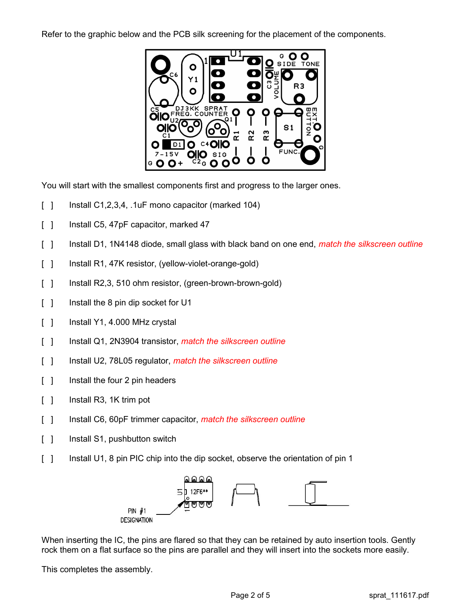Refer to the graphic below and the PCB silk screening for the placement of the components.



You will start with the smallest components first and progress to the larger ones.

- $\lceil$  ] Install C1,2,3,4, .1uF mono capacitor (marked 104)
- [ ] Install C5, 47pF capacitor, marked 47
- [] Install D1, 1N4148 diode, small glass with black band on one end, *match the silkscreen outline*
- [ ] Install R1, 47K resistor, (yellow-violet-orange-gold)
- [ ] Install R2,3, 510 ohm resistor, (green-brown-brown-gold)
- [ ] Install the 8 pin dip socket for U1
- $\lceil$  | Install Y1, 4.000 MHz crystal
- [ ] Install Q1, 2N3904 transistor, *match the silkscreen outline*
- [ ] Install U2, 78L05 regulator, *match the silkscreen outline*
- [ ] Install the four 2 pin headers
- [ ] Install R3, 1K trim pot
- [ ] Install C6, 60pF trimmer capacitor, match the silkscreen outline
- [ ] Install S1, pushbutton switch
- [ ] Install U1, 8 pin PIC chip into the dip socket, observe the orientation of pin 1



When inserting the IC, the pins are flared so that they can be retained by auto insertion tools. Gently rock them on a flat surface so the pins are parallel and they will insert into the sockets more easily.

This completes the assembly.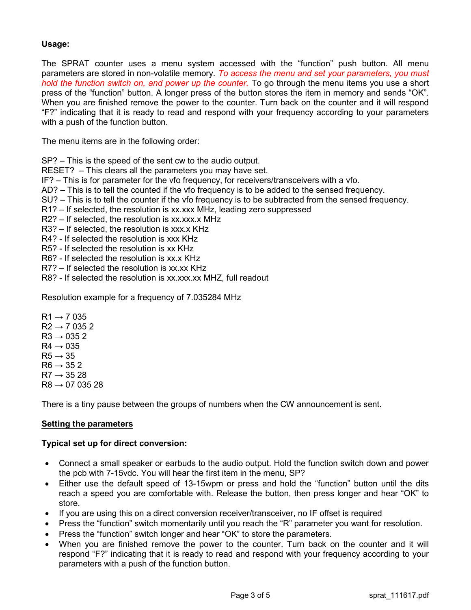# Usage:

The SPRAT counter uses a menu system accessed with the "function" push button. All menu parameters are stored in non-volatile memory. To access the menu and set your parameters, you must hold the function switch on, and power up the counter. To go through the menu items you use a short press of the "function" button. A longer press of the button stores the item in memory and sends "OK". When you are finished remove the power to the counter. Turn back on the counter and it will respond "F?" indicating that it is ready to read and respond with your frequency according to your parameters with a push of the function button.

The menu items are in the following order:

SP? – This is the speed of the sent cw to the audio output.

RESET? – This clears all the parameters you may have set.

IF? – This is for parameter for the vfo frequency, for receivers/transceivers with a vfo.

AD? – This is to tell the counted if the vfo frequency is to be added to the sensed frequency.

- SU? This is to tell the counter if the vfo frequency is to be subtracted from the sensed frequency.
- R1? If selected, the resolution is xx.xxx MHz, leading zero suppressed
- R2? If selected, the resolution is xx.xxx.x MHz

R3? – If selected, the resolution is xxx.x KHz

- R4? If selected the resolution is xxx KHz
- R5? If selected the resolution is xx KHz
- R6? If selected the resolution is xx.x KHz
- R7? If selected the resolution is xx.xx KHz
- R8? If selected the resolution is xx.xxx.xx MHZ, full readout

Resolution example for a frequency of 7.035284 MHz

 $R1 \rightarrow 7035$  $R2 \rightarrow 70352$  $R3 \rightarrow 0352$  $R4 \rightarrow 0.35$  $R5 \rightarrow 35$  $R6 \rightarrow 352$  $R7 \rightarrow 3528$  $R8 \to 0703528$ 

There is a tiny pause between the groups of numbers when the CW announcement is sent.

## Setting the parameters

#### Typical set up for direct conversion:

- Connect a small speaker or earbuds to the audio output. Hold the function switch down and power the pcb with 7-15vdc. You will hear the first item in the menu, SP?
- Either use the default speed of 13-15wpm or press and hold the "function" button until the dits reach a speed you are comfortable with. Release the button, then press longer and hear "OK" to store.
- If you are using this on a direct conversion receiver/transceiver, no IF offset is required
- Press the "function" switch momentarily until you reach the "R" parameter you want for resolution.
- Press the "function" switch longer and hear "OK" to store the parameters.
- When you are finished remove the power to the counter. Turn back on the counter and it will respond "F?" indicating that it is ready to read and respond with your frequency according to your parameters with a push of the function button.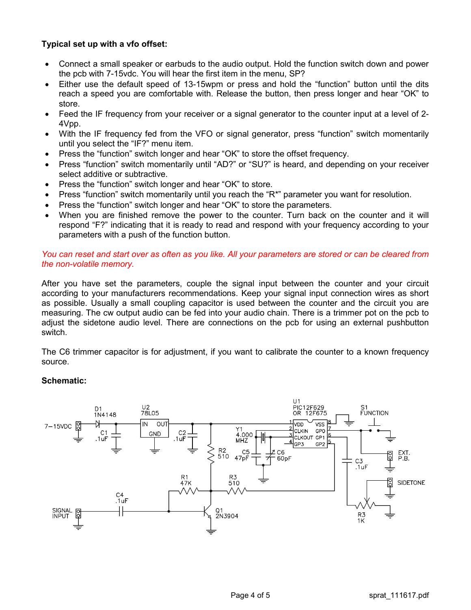# Typical set up with a vfo offset:

- Connect a small speaker or earbuds to the audio output. Hold the function switch down and power the pcb with 7-15vdc. You will hear the first item in the menu, SP?
- Either use the default speed of 13-15wpm or press and hold the "function" button until the dits reach a speed you are comfortable with. Release the button, then press longer and hear "OK" to store.
- Feed the IF frequency from your receiver or a signal generator to the counter input at a level of 2- 4Vpp.
- With the IF frequency fed from the VFO or signal generator, press "function" switch momentarily until you select the "IF?" menu item.
- Press the "function" switch longer and hear "OK" to store the offset frequency.
- Press "function" switch momentarily until "AD?" or "SU?" is heard, and depending on your receiver select additive or subtractive.
- Press the "function" switch longer and hear "OK" to store.
- Press "function" switch momentarily until you reach the "R\*" parameter you want for resolution.
- Press the "function" switch longer and hear "OK" to store the parameters.
- When you are finished remove the power to the counter. Turn back on the counter and it will respond "F?" indicating that it is ready to read and respond with your frequency according to your parameters with a push of the function button.

## You can reset and start over as often as you like. All your parameters are stored or can be cleared from the non-volatile memory.

After you have set the parameters, couple the signal input between the counter and your circuit according to your manufacturers recommendations. Keep your signal input connection wires as short as possible. Usually a small coupling capacitor is used between the counter and the circuit you are measuring. The cw output audio can be fed into your audio chain. There is a trimmer pot on the pcb to adjust the sidetone audio level. There are connections on the pcb for using an external pushbutton switch.

The C6 trimmer capacitor is for adjustment, if you want to calibrate the counter to a known frequency source.

## Schematic: